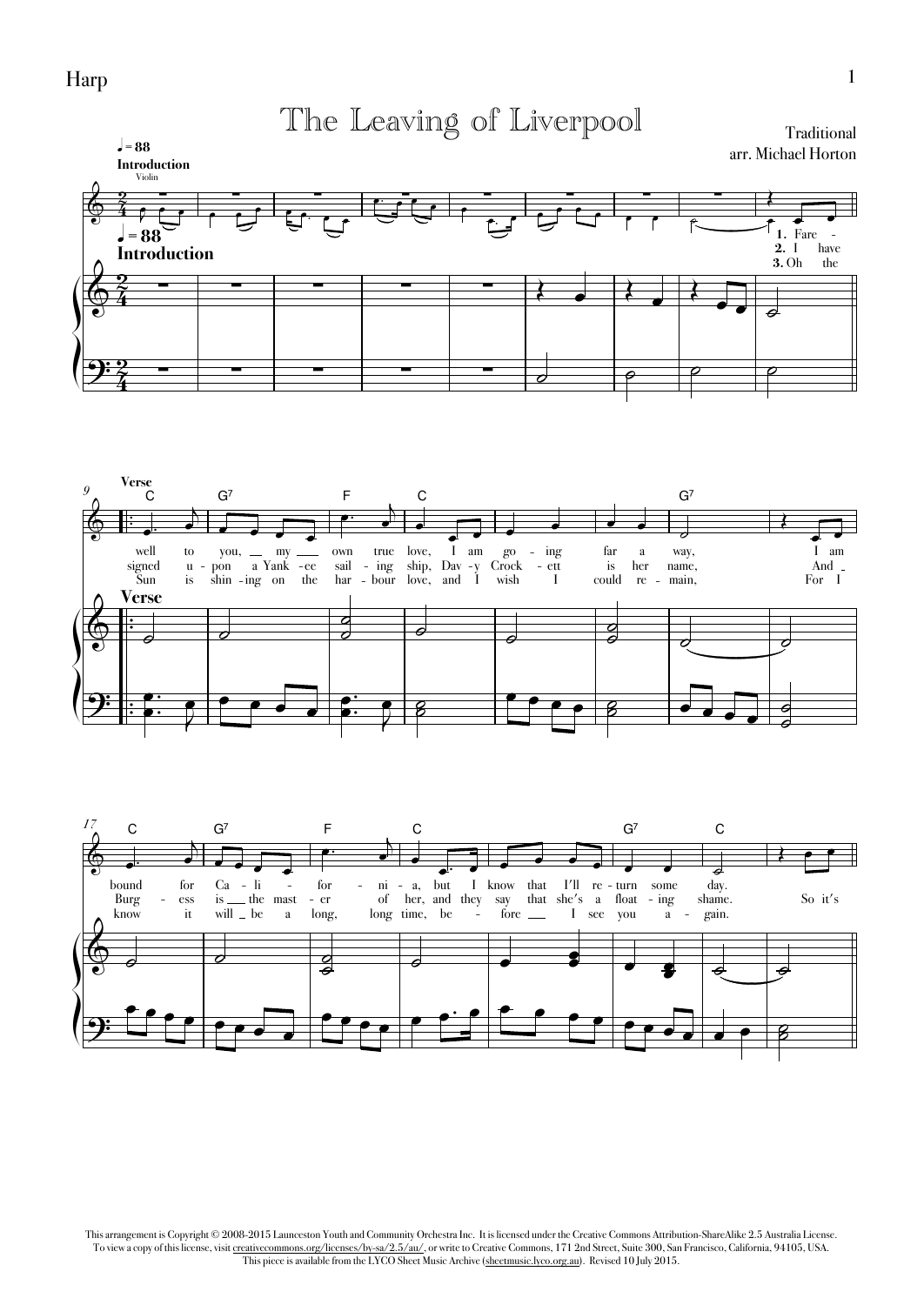Harp

The Leaving of Liverpool

}<br>|<br>|<br>|<br>| **1.** Fare **3.** Oh **2.** I the have - **Introduction** <sup>q</sup> **<sup>=</sup> <sup>88</sup> Introduction** <sup>q</sup> **<sup>=</sup> <sup>88</sup>** <u>2</u>  $\frac{2}{4}$ <u>ջ</u>  $\vec{\hat{4}}$ <u>ջ</u>  $\frac{2}{4}$ & Violin ∑ ∑ ∑ ∑ ∑ ∑ ∑ ∑ Traditional arr. Michael Horton  $\frac{2}{9}$   $\frac{2}{1}$   $\frac{2}{1}$   $\frac{2}{1}$   $\frac{2}{1}$   $\frac{2}{1}$   $\frac{2}{1}$   $\frac{2}{1}$   $\frac{2}{1}$   $\frac{2}{1}$   $\frac{2}{1}$   $\frac{2}{1}$   $\frac{2}{1}$   $\frac{2}{1}$   $\frac{2}{1}$   $\frac{2}{1}$   $\frac{2}{1}$   $\frac{2}{1}$   $\frac{2}{1}$   $\frac{2}{1}$   $\frac{2}{1}$   $\frac{2}{1}$   $9:2$   $$ œ <del>, e le c</del> e <del>e</del> <sup>œ</sup>™ <sup>œ</sup> <sup>œ</sup> <sup>œ</sup> <sup>œ</sup> <sup>œ</sup>™ <sup>œ</sup> <sup>œ</sup> <sup>œ</sup> <sup>œ</sup> <sup>œ</sup> <sup>œ</sup> <sup>œ</sup> ˙ <sup>œ</sup> Œ  $\overline{\cdot}$  $\begin{array}{|c|c|c|c|c|}\n\hline\n\end{array}$  $\bullet$   $\bullet$  $\circ$   $\circ$   $\circ$ 





This arrangement is Copyright © 2008-2015 Launceston Youth and Community Orchestra Inc. It is licensed under the Creative Commons Attribution-ShareAlike 2.5 Australia License. To view a copy of this license, visit creativecommons.org/licenses/by-sa/2.5/au/, or write to Creative Commons, 171 2nd Street, Suite 300, San Francisco, California, 94105, USA. This piece is available from the LYCO Sheet Music Archive (sheetmusic.lyco.org.au). Revised 10 July 2015.